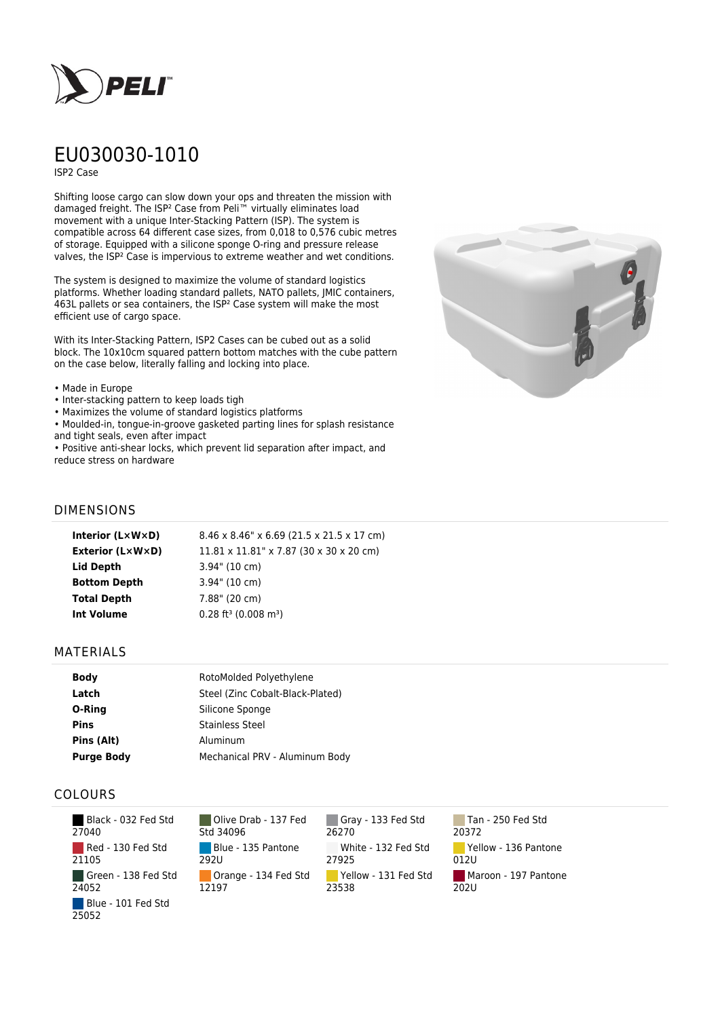

# EU030030-1010

ISP2 Case

Shifting loose cargo can slow down your ops and threaten the mission with damaged freight. The ISP² Case from Peli™ virtually eliminates load movement with a unique Inter-Stacking Pattern (ISP). The system is compatible across 64 different case sizes, from 0,018 to 0,576 cubic metres of storage. Equipped with a silicone sponge O-ring and pressure release valves, the ISP² Case is impervious to extreme weather and wet conditions.

The system is designed to maximize the volume of standard logistics platforms. Whether loading standard pallets, NATO pallets, JMIC containers, 463L pallets or sea containers, the ISP² Case system will make the most efficient use of cargo space.

With its Inter-Stacking Pattern, ISP2 Cases can be cubed out as a solid block. The 10x10cm squared pattern bottom matches with the cube pattern on the case below, literally falling and locking into place.

#### • Made in Europe

- Inter-stacking pattern to keep loads tigh
- Maximizes the volume of standard logistics platforms

• Moulded-in, tongue-in-groove gasketed parting lines for splash resistance and tight seals, even after impact

• Positive anti-shear locks, which prevent lid separation after impact, and reduce stress on hardware



## DIMENSIONS

| Interior $(L \times W \times D)$ | 8.46 x 8.46" x 6.69 (21.5 x 21.5 x 17 cm)       |
|----------------------------------|-------------------------------------------------|
| <b>Exterior (L×W×D)</b>          | $11.81 \times 11.81$ " x 7.87 (30 x 30 x 20 cm) |
| Lid Depth                        | $3.94$ " (10 cm)                                |
| <b>Bottom Depth</b>              | $3.94$ " (10 cm)                                |
| <b>Total Depth</b>               | 7.88" (20 cm)                                   |
| <b>Int Volume</b>                | $0.28$ ft <sup>3</sup> (0.008 m <sup>3</sup> )  |
|                                  |                                                 |

### MATERIALS

| <b>Body</b>       | RotoMolded Polyethylene          |
|-------------------|----------------------------------|
| Latch             | Steel (Zinc Cobalt-Black-Plated) |
| O-Ring            | Silicone Sponge                  |
| <b>Pins</b>       | <b>Stainless Steel</b>           |
| Pins (Alt)        | Aluminum                         |
| <b>Purge Body</b> | Mechanical PRV - Aluminum Body   |

## COLOURS

| Black - 032 Fed Std<br>27040 |
|------------------------------|
| Red - 130 Fed Std<br>21105   |
| Green - 138 Fed Std<br>24052 |
| Blue - 101 Fed Std<br>25052  |

Olive Drab - 137 Fed Std 34096 Blue - 135 Pantone 292U Orange - 134 Fed Std 12197

Gray - 133 Fed Std 26270 White - 132 Fed Std 27925 Yellow - 131 Fed Std 23538

Tan - 250 Fed Std 20372 Yellow - 136 Pantone 012U Maroon - 197 Pantone 202U